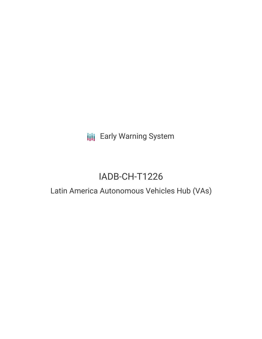**III** Early Warning System

# IADB-CH-T1226

## Latin America Autonomous Vehicles Hub (VAs)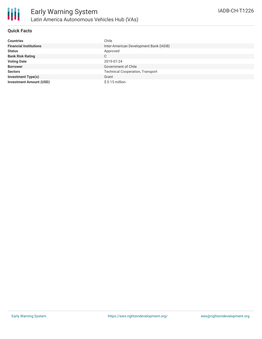

### **Quick Facts**

| <b>Countries</b>               | Chile                                   |  |  |  |
|--------------------------------|-----------------------------------------|--|--|--|
| <b>Financial Institutions</b>  | Inter-American Development Bank (IADB)  |  |  |  |
| <b>Status</b>                  | Approved                                |  |  |  |
| <b>Bank Risk Rating</b>        | C                                       |  |  |  |
| <b>Voting Date</b>             | 2019-07-24                              |  |  |  |
| <b>Borrower</b>                | Government of Chile                     |  |  |  |
| <b>Sectors</b>                 | <b>Technical Cooperation, Transport</b> |  |  |  |
| <b>Investment Type(s)</b>      | Grant                                   |  |  |  |
| <b>Investment Amount (USD)</b> | $$0.15$ million                         |  |  |  |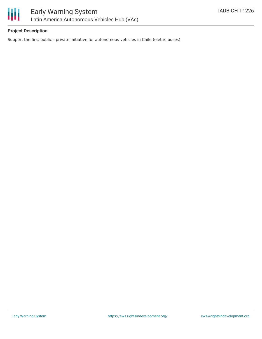

### **Project Description**

Support the first public - private initiative for autonomous vehicles in Chile (eletric buses).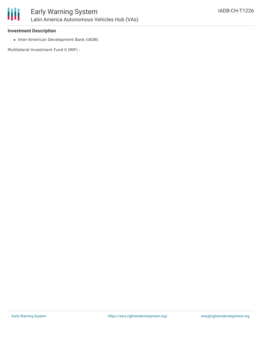

### **Investment Description**

• Inter-American Development Bank (IADB)

Multilateral Investment Fund II (MIF) -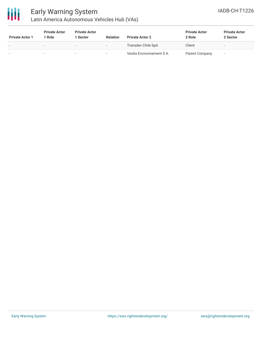

### Early Warning System Latin America Autonomous Vehicles Hub (VAs)

| <b>Private Actor 1</b>   | <b>Private Actor</b><br>1 Role | <b>Private Actor</b><br><b>Sector</b> | <b>Relation</b> | <b>Private Actor 2</b>    | <b>Private Actor</b><br>2 Role | <b>Private Actor</b><br>2 Sector |
|--------------------------|--------------------------------|---------------------------------------|-----------------|---------------------------|--------------------------------|----------------------------------|
| $\overline{\phantom{a}}$ |                                | $\overline{\phantom{0}}$              |                 | Transdev Chile SpA        | Client                         | $\overline{\phantom{a}}$         |
| -                        |                                | $\sim$                                |                 | Veolia Environnement S.A. | Parent Company                 |                                  |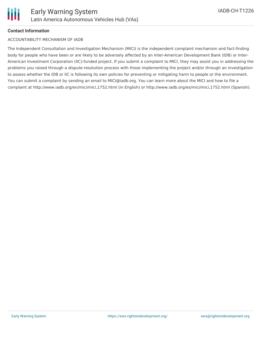

### **Contact Information**

### ACCOUNTABILITY MECHANISM OF IADB

The Independent Consultation and Investigation Mechanism (MICI) is the independent complaint mechanism and fact-finding body for people who have been or are likely to be adversely affected by an Inter-American Development Bank (IDB) or Inter-American Investment Corporation (IIC)-funded project. If you submit a complaint to MICI, they may assist you in addressing the problems you raised through a dispute-resolution process with those implementing the project and/or through an investigation to assess whether the IDB or IIC is following its own policies for preventing or mitigating harm to people or the environment. You can submit a complaint by sending an email to MICI@iadb.org. You can learn more about the MICI and how to file a complaint at http://www.iadb.org/en/mici/mici,1752.html (in English) or http://www.iadb.org/es/mici/mici,1752.html (Spanish).